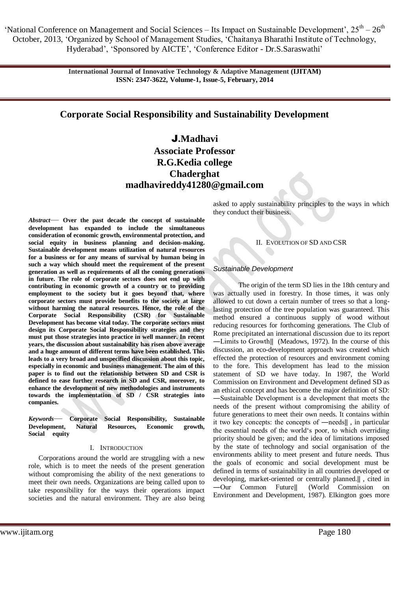> **International Journal of Innovative Technology & Adaptive Management (IJITAM) ISSN: 2347-3622, Volume-1, Issue-5, February, 2014**

# **Corporate Social Responsibility and Sustainability Development**

# J**.Madhavi Associate Professor R.G.Kedia college Chaderghat [madhavireddy41280@gmail.com](mailto:madhavireddy41280@gmail.com)**

*Abstract*— **Over the past decade the concept of sustainable development has expanded to include the simultaneous consideration of economic growth, environmental protection, and social equity in business planning and decision-making. Sustainable development means utilization of natural resources for a business or for any means of survival by human being in such a way which should meet the requirement of the present generation as well as requirements of all the coming generations in future. The role of corporate sectors does not end up with contributing in economic growth of a country or to providing employment to the society but it goes beyond that, where corporate sectors must provide benefits to the society at large without harming the natural resources. Hence, the role of the Corporate Social Responsibility (CSR) for Sustainable Development has become vital today. The corporate sectors must design its Corporate Social Responsibility strategies and they must put those strategies into practice in well manner. In recent years, the discussion about sustainability has risen above average and a huge amount of different terms have been established. This leads to a very broad and unspecified discussion about this topic, especially in economic and business management. The aim of this paper is to find out the relationship between SD and CSR is defined to ease further research in SD and CSR, moreover, to enhance the development of new methodologies and instruments towards the implementation of SD / CSR strategies into companies.** 

#### *Keywords*— **Corporate Social Responsibility, Sustainable Development, Natural Resources, Economic growth, Social equity**

#### I. INTRODUCTION

Corporations around the world are struggling with a new role, which is to meet the needs of the present generation without compromising the ability of the next generations to meet their own needs. Organizations are being called upon to take responsibility for the ways their operations impact societies and the natural environment. They are also being

asked to apply sustainability principles to the ways in which they conduct their business.

#### II. EVOLUTION OF SD AND CSR

#### *Sustainable Development*

The origin of the term SD lies in the 18th century and was actually used in forestry. In those times, it was only allowed to cut down a certain number of trees so that a longlasting protection of the tree population was guaranteed. This method ensured a continuous supply of wood without reducing resources for forthcoming generations. The Club of Rome precipitated an international discussion due to its report ―Limits to Growth‖ (Meadows, 1972). In the course of this discussion, an eco-development approach was created which effected the protection of resources and environment coming to the fore. This development has lead to the mission statement of SD we have today. In 1987, the World Commission on Environment and Development defined SD as an ethical concept and has become the major definition of SD: ―Sustainable Development is a development that meets the needs of the present without compromising the ability of future generations to meet their own needs. It contains within it two key concepts: the concepts of ―needs‖ , in particular the essential needs of the world's poor, to which overriding priority should be given; and the idea of limitations imposed by the state of technology and social organisation of the environments ability to meet present and future needs. Thus the goals of economic and social development must be defined in terms of sustainability in all countries developed or developing, market-oriented or centrally planned.‖ , cited in ―Our Common Future‖ (World Commission on Environment and Development, 1987). Elkington goes more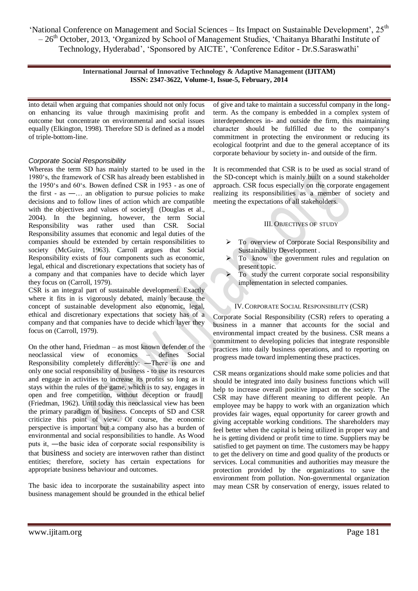> **International Journal of Innovative Technology & Adaptive Management (IJITAM) ISSN: 2347-3622, Volume-1, Issue-5, February, 2014**

into detail when arguing that companies should not only focus on enhancing its value through maximising profit and outcome but concentrate on environmental and social issues equally (Elkington, 1998). Therefore SD is defined as a model of triple-bottom-line.

# *Corporate Social Responsibility*

Whereas the term SD has mainly started to be used in the 1980‗s, the framework of CSR has already been established in the 1950's and 60's. Bowen defined CSR in 1953 - as one of the first - as ―… an obligation to pursue policies to make decisions and to follow lines of action which are compatible with the objectives and values of society‖ (Douglas et al., 2004). In the beginning, however, the term Social Responsibility was rather used than CSR. Social Responsibility assumes that economic and legal duties of the companies should be extended by certain responsibilities to society (McGuire, 1963). Carroll argues that Social Responsibility exists of four components such as economic, legal, ethical and discretionary expectations that society has of a company and that companies have to decide which layer they focus on (Carroll, 1979).

CSR is an integral part of sustainable development. Exactly where it fits in is vigorously debated, mainly because the concept of sustainable development also economic, legal, ethical and discretionary expectations that society has of a company and that companies have to decide which layer they focus on (Carroll, 1979).

On the other hand, Friedman – as most known defender of the neoclassical view of economics – defines Social Responsibility completely differently: ―There is one and only one social responsibility of business - to use its resources and engage in activities to increase its profits so long as it stays within the rules of the game, which is to say, engages in open and free competition, without deception or fraud‖ (Friedman, 1962). Until today this neoclassical view has been the primary paradigm of business. Concepts of SD and CSR criticize this point of view. Of course, the economic perspective is important but a company also has a burden of environmental and social responsibilities to handle. As Wood puts it, ―the basic idea of corporate social responsibility is that business and society are interwoven rather than distinct entities; therefore, society has certain expectations for appropriate business behaviour and outcomes.

The basic idea to incorporate the sustainability aspect into business management should be grounded in the ethical belief

of give and take to maintain a successful company in the longterm. As the company is embedded in a complex system of interdependences in- and outside the firm, this maintaining character should be fulfilled due to the company's commitment in protecting the environment or reducing its ecological footprint and due to the general acceptance of its corporate behaviour by society in- and outside of the firm.

It is recommended that CSR is to be used as social strand of the SD-concept which is mainly built on a sound stakeholder approach. CSR focus especially on the corporate engagement realizing its responsibilities as a member of society and meeting the expectations of all stakeholders.

# III. OBJECTIVES OF STUDY

- To overview of Corporate Social Responsibility and Sustainability Development .
- To know the government rules and regulation on present topic.
- To study the current corporate social responsibility implementation in selected companies.

#### IV.CORPORATE SOCIAL RESPONSIBILITY (CSR)

Corporate Social Responsibility (CSR) refers to operating a business in a manner that accounts for the social and environmental impact created by the business. CSR means a commitment to developing policies that integrate responsible practices into daily business operations, and to reporting on progress made toward implementing these practices.

CSR means organizations should make some policies and that should be integrated into daily business functions which will help to increase overall positive impact on the society. The CSR may have different meaning to different people. An employee may be happy to work with an organization which provides fair wages, equal opportunity for career growth and giving acceptable working conditions. The shareholders may feel better when the capital is being utilized in proper way and he is getting dividend or profit time to time. Suppliers may be satisfied to get payment on time. The customers may be happy to get the delivery on time and good quality of the products or services. Local communities and authorities may measure the protection provided by the organizations to save the environment from pollution. Non-governmental organization may mean CSR by conservation of energy, issues related to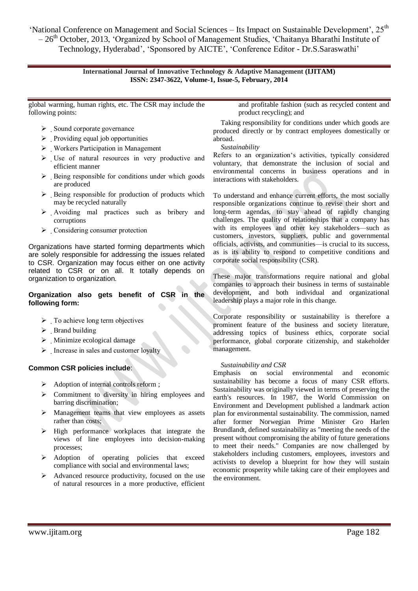#### **International Journal of Innovative Technology & Adaptive Management (IJITAM) ISSN: 2347-3622, Volume-1, Issue-5, February, 2014**

global warming, human rights, etc. The CSR may include the following points:

- $\triangleright$  Sound corporate governance
- $\triangleright$  Providing equal job opportunities
- Workers Participation in Management
- $\triangleright$  Use of natural resources in very productive and efficient manner
- $\triangleright$  Being responsible for conditions under which goods are produced
- $\triangleright$  Being responsible for production of products which may be recycled naturally
- Avoiding mal practices such as bribery and corruptions
- Considering consumer protection

Organizations have started forming departments which are solely responsible for addressing the issues related to CSR. Organization may focus either on one activity related to CSR or on all. It totally depends on organization to organization.

# **Organization also gets benefit of CSR in the following form:**

- $\triangleright$  To achieve long term objectives
- $\triangleright$  Brand building
- $\triangleright$  Minimize ecological damage
- $\triangleright$  Increase in sales and customer loyalty

# **Common CSR policies include**:

- Adoption of internal controls reform ;
- $\triangleright$  Commitment to diversity in hiring employees and barring discrimination;
- $\triangleright$  Management teams that view employees as assets rather than costs;
- > High performance workplaces that integrate the views of line employees into decision-making processes;
- > Adoption of operating policies that exceed compliance with social and environmental laws;
- $\triangleright$  Advanced resource productivity, focused on the use of natural resources in a more productive, efficient

and profitable fashion (such as recycled content and product recycling); and

Taking responsibility for conditions under which goods are produced directly or by contract employees domestically or abroad.

#### *Sustainability*

Refers to an organization's activities, typically considered voluntary, that demonstrate the inclusion of social and environmental concerns in business operations and in interactions with stakeholders.

To understand and enhance current efforts, the most socially responsible organizations continue to revise their short and long-term agendas, to stay ahead of rapidly changing challenges. The quality of relationships that a company has with its employees and other key stakeholders—such as customers, investors, suppliers, public and governmental officials, activists, and communities—is crucial to its success, as is its ability to respond to competitive conditions and corporate social responsibility (CSR).

These major transformations require national and global companies to approach their business in terms of sustainable development, and both individual and organizational leadership plays a major role in this change.

Corporate responsibility or sustainability is therefore a prominent feature of the business and society literature, addressing topics of business ethics, corporate social performance, global corporate citizenship, and stakeholder management.

#### *Sustainability and CSR*

Emphasis on social environmental and economic sustainability has become a focus of many CSR efforts. Sustainability was originally viewed in terms of preserving the earth's resources. In 1987, the World Commission on Environment and Development published a landmark action plan for environmental sustainability. The commission, named after former Norwegian Prime Minister Gro Harlen Brundlandt, defined sustainability as "meeting the needs of the present without compromising the ability of future generations to meet their needs." Companies are now challenged by stakeholders including customers, employees, investors and activists to develop a blueprint for how they will sustain economic prosperity while taking care of their employees and the environment.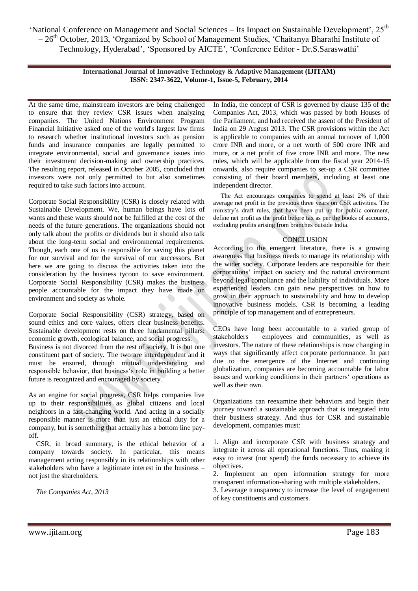> **International Journal of Innovative Technology & Adaptive Management (IJITAM) ISSN: 2347-3622, Volume-1, Issue-5, February, 2014**

At the same time, mainstream investors are being challenged to ensure that they review CSR issues when analyzing companies. The United Nations Environment Program Financial Initiative asked one of the world's largest law firms to research whether institutional investors such as pension funds and insurance companies are legally permitted to integrate environmental, social and governance issues into their investment decision-making and ownership practices. The resulting report, released in October 2005, concluded that investors were not only permitted to but also sometimes required to take such factors into account.

Corporate Social Responsibility (CSR) is closely related with Sustainable Development. We, human beings have lots of wants and these wants should not be fulfilled at the cost of the needs of the future generations. The organizations should not only talk about the profits or dividends but it should also talk about the long-term social and environmental requirements. Though, each one of us is responsible for saving this planet for our survival and for the survival of our successors. But here we are going to discuss the activities taken into the consideration by the business tycoon to save environment. Corporate Social Responsibility (CSR) makes the business people accountable for the impact they have made on environment and society as whole.

Corporate Social Responsibility (CSR) strategy, based on sound ethics and core values, offers clear business benefits. Sustainable development rests on three fundamental pillars: economic growth, ecological balance, and social progress. Business is not divorced from the rest of society. It is but one constituent part of society. The two are interdependent and it must be ensured, through mutual understanding and responsible behavior, that business's role in building a better future is recognized and encouraged by society.

As an engine for social progress, CSR helps companies live up to their responsibilities as global citizens and local neighbors in a fast-changing world. And acting in a socially responsible manner is more than just an ethical duty for a company, but is something that actually has a bottom line payoff.

CSR, in broad summary, is the ethical behavior of a company towards society. In particular, this means management acting responsibly in its relationships with other stakeholders who have a legitimate interest in the business – not just the shareholders.

*The Companies Act, 2013*

In India, the concept of CSR is governed by clause 135 of the Companies Act, 2013, which was passed by both Houses of the Parliament, and had received the assent of the President of India on 29 August 2013. The CSR provisions within the Act is applicable to companies with an annual turnover of 1,000 crore INR and more, or a net worth of 500 crore INR and more, or a net profit of five crore INR and more. The new rules, which will be applicable from the fiscal year 2014-15 onwards, also require companies to set-up a CSR committee consisting of their board members, including at least one independent director.

The Act encourages companies to spend at least 2% of their average net profit in the previous three years on CSR activities. The ministry's draft rules, that have been put up for public comment, define net profit as the profit before tax as per the books of accounts, excluding profits arising from branches outside India.

# **CONCLUSION**

According to the emergent literature, there is a growing awareness that business needs to manage its relationship with the wider society. Corporate leaders are responsible for their corporations‗ impact on society and the natural environment beyond legal compliance and the liability of individuals. More experienced leaders can gain new perspectives on how to grow in their approach to sustainability and how to develop innovative business models. CSR is becoming a leading principle of top management and of entrepreneurs.

CEOs have long been accountable to a varied group of stakeholders – employees and communities, as well as investors. The nature of these relationships is now changing in ways that significantly affect corporate performance. In part due to the emergence of the Internet and continuing globalization, companies are becoming accountable for labor issues and working conditions in their partners' operations as well as their own.

Organizations can reexamine their behaviors and begin their journey toward a sustainable approach that is integrated into their business strategy. And thus for CSR and sustainable development, companies must:

1. Align and incorporate CSR with business strategy and integrate it across all operational functions. Thus, making it easy to invest (not spend) the funds necessary to achieve its objectives.

2. Implement an open information strategy for more transparent information-sharing with multiple stakeholders.

3. Leverage transparency to increase the level of engagement of key constituents and customers.